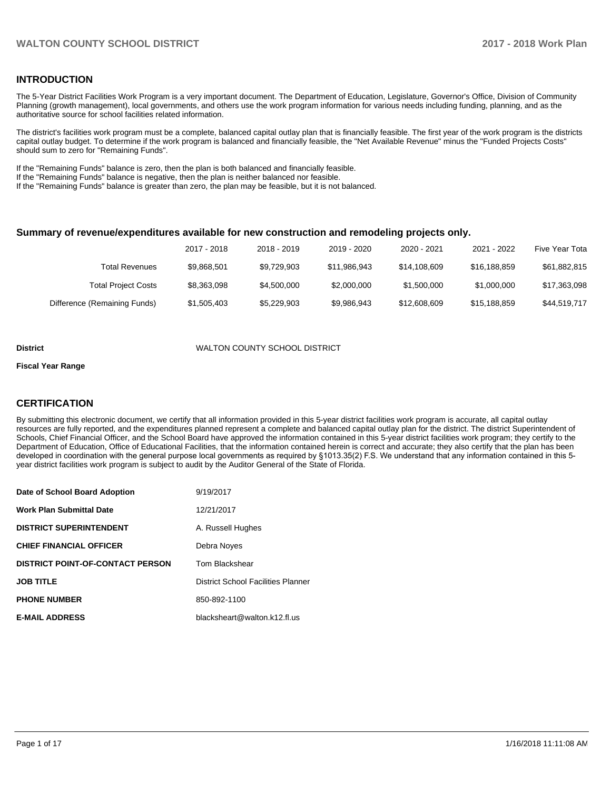## **INTRODUCTION**

The 5-Year District Facilities Work Program is a very important document. The Department of Education, Legislature, Governor's Office, Division of Community Planning (growth management), local governments, and others use the work program information for various needs including funding, planning, and as the authoritative source for school facilities related information.

The district's facilities work program must be a complete, balanced capital outlay plan that is financially feasible. The first year of the work program is the districts capital outlay budget. To determine if the work program is balanced and financially feasible, the "Net Available Revenue" minus the "Funded Projects Costs" should sum to zero for "Remaining Funds".

If the "Remaining Funds" balance is zero, then the plan is both balanced and financially feasible.

If the "Remaining Funds" balance is negative, then the plan is neither balanced nor feasible.

If the "Remaining Funds" balance is greater than zero, the plan may be feasible, but it is not balanced.

#### **Summary of revenue/expenditures available for new construction and remodeling projects only.**

|                              | 2017 - 2018 | 2018 - 2019 | 2019 - 2020  | 2020 - 2021  | 2021 - 2022  | Five Year Tota |
|------------------------------|-------------|-------------|--------------|--------------|--------------|----------------|
| Total Revenues               | \$9.868.501 | \$9.729.903 | \$11,986,943 | \$14,108,609 | \$16,188,859 | \$61,882,815   |
| <b>Total Project Costs</b>   | \$8,363,098 | \$4,500,000 | \$2,000,000  | \$1,500,000  | \$1,000,000  | \$17,363,098   |
| Difference (Remaining Funds) | \$1,505,403 | \$5,229,903 | \$9,986,943  | \$12,608,609 | \$15,188,859 | \$44,519,717   |

#### **District** WALTON COUNTY SCHOOL DISTRICT

#### **Fiscal Year Range**

## **CERTIFICATION**

By submitting this electronic document, we certify that all information provided in this 5-year district facilities work program is accurate, all capital outlay resources are fully reported, and the expenditures planned represent a complete and balanced capital outlay plan for the district. The district Superintendent of Schools, Chief Financial Officer, and the School Board have approved the information contained in this 5-year district facilities work program; they certify to the Department of Education, Office of Educational Facilities, that the information contained herein is correct and accurate; they also certify that the plan has been developed in coordination with the general purpose local governments as required by §1013.35(2) F.S. We understand that any information contained in this 5year district facilities work program is subject to audit by the Auditor General of the State of Florida.

| Date of School Board Adoption           | 9/19/2017                                 |
|-----------------------------------------|-------------------------------------------|
| Work Plan Submittal Date                | 12/21/2017                                |
| <b>DISTRICT SUPERINTENDENT</b>          | A. Russell Hughes                         |
| <b>CHIEF FINANCIAL OFFICER</b>          | Debra Noves                               |
| <b>DISTRICT POINT-OF-CONTACT PERSON</b> | Tom Blackshear                            |
| JOB TITLE                               | <b>District School Facilities Planner</b> |
| <b>PHONE NUMBER</b>                     | 850-892-1100                              |
| <b>E-MAIL ADDRESS</b>                   | blacksheart@walton.k12.fl.us              |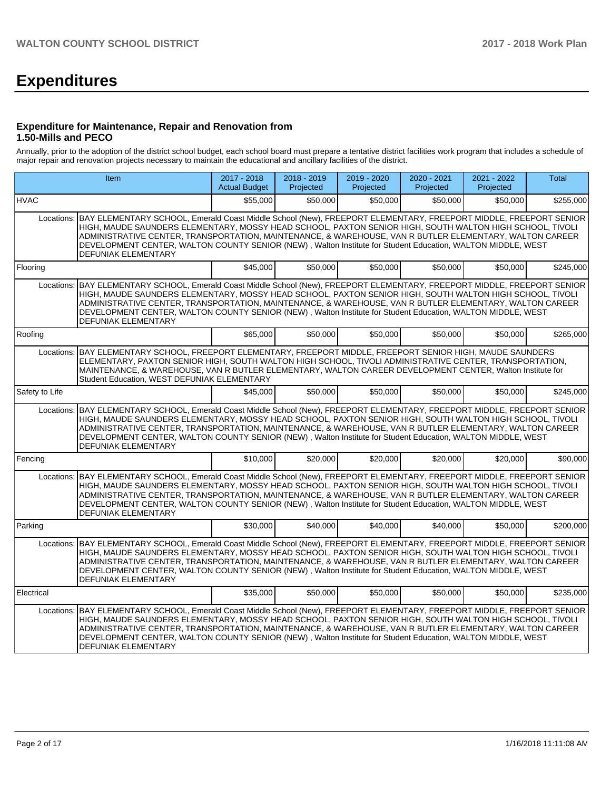# **Expenditures**

### **Expenditure for Maintenance, Repair and Renovation from 1.50-Mills and PECO**

Annually, prior to the adoption of the district school budget, each school board must prepare a tentative district facilities work program that includes a schedule of major repair and renovation projects necessary to maintain the educational and ancillary facilities of the district.

|                | <b>Item</b>                                                                                                                                                                                                                                                                                                                                                                                                                                                                                    | 2017 - 2018<br><b>Actual Budget</b> | $2018 - 2019$<br>Projected | 2019 - 2020<br>Projected | $2020 - 2021$<br>Projected | 2021 - 2022<br>Projected | Total     |
|----------------|------------------------------------------------------------------------------------------------------------------------------------------------------------------------------------------------------------------------------------------------------------------------------------------------------------------------------------------------------------------------------------------------------------------------------------------------------------------------------------------------|-------------------------------------|----------------------------|--------------------------|----------------------------|--------------------------|-----------|
| <b>HVAC</b>    |                                                                                                                                                                                                                                                                                                                                                                                                                                                                                                | \$55,000                            | \$50,000                   | \$50,000                 | \$50,000                   | \$50,000                 | \$255,000 |
| Locations:     | BAY ELEMENTARY SCHOOL, Emerald Coast Middle School (New), FREEPORT ELEMENTARY, FREEPORT MIDDLE, FREEPORT SENIOR<br>HIGH, MAUDE SAUNDERS ELEMENTARY, MOSSY HEAD SCHOOL, PAXTON SENIOR HIGH, SOUTH WALTON HIGH SCHOOL, TIVOLI<br>ADMINISTRATIVE CENTER, TRANSPORTATION, MAINTENANCE, & WAREHOUSE, VAN R BUTLER ELEMENTARY, WALTON CAREER<br>DEVELOPMENT CENTER, WALTON COUNTY SENIOR (NEW), Walton Institute for Student Education, WALTON MIDDLE, WEST<br>DEFUNIAK ELEMENTARY                   |                                     |                            |                          |                            |                          |           |
| Flooring       |                                                                                                                                                                                                                                                                                                                                                                                                                                                                                                | \$45,000                            | \$50,000                   | \$50,000                 | \$50,000                   | \$50.000                 | \$245,000 |
| Locations:     | BAY ELEMENTARY SCHOOL, Emerald Coast Middle School (New), FREEPORT ELEMENTARY, FREEPORT MIDDLE, FREEPORT SENIOR<br>HIGH, MAUDE SAUNDERS ELEMENTARY, MOSSY HEAD SCHOOL, PAXTON SENIOR HIGH, SOUTH WALTON HIGH SCHOOL, TIVOLI<br>ADMINISTRATIVE CENTER. TRANSPORTATION. MAINTENANCE. & WAREHOUSE. VAN R BUTLER ELEMENTARY. WALTON CAREER<br>DEVELOPMENT CENTER, WALTON COUNTY SENIOR (NEW), Walton Institute for Student Education, WALTON MIDDLE, WEST<br><b>DEFUNIAK ELEMENTARY</b>            |                                     |                            |                          |                            |                          |           |
| Roofing        |                                                                                                                                                                                                                                                                                                                                                                                                                                                                                                | \$65,000                            | \$50,000                   | \$50,000                 | \$50,000                   | \$50,000                 | \$265,000 |
| Locations:     | BAY ELEMENTARY SCHOOL, FREEPORT ELEMENTARY, FREEPORT MIDDLE, FREEPORT SENIOR HIGH, MAUDE SAUNDERS<br>ELEMENTARY, PAXTON SENIOR HIGH, SOUTH WALTON HIGH SCHOOL, TIVOLI ADMINISTRATIVE CENTER, TRANSPORTATION,<br>MAINTENANCE, & WAREHOUSE, VAN R BUTLER ELEMENTARY, WALTON CAREER DEVELOPMENT CENTER, Walton Institute for<br>Student Education, WEST DEFUNIAK ELEMENTARY                                                                                                                       |                                     |                            |                          |                            |                          |           |
| Safety to Life |                                                                                                                                                                                                                                                                                                                                                                                                                                                                                                | \$45,000                            | \$50,000                   | \$50,000                 | \$50,000                   | \$50,000                 | \$245.000 |
| Locations:     | BAY ELEMENTARY SCHOOL, Emerald Coast Middle School (New), FREEPORT ELEMENTARY, FREEPORT MIDDLE, FREEPORT SENIOR<br>HIGH, MAUDE SAUNDERS ELEMENTARY, MOSSY HEAD SCHOOL, PAXTON SENIOR HIGH, SOUTH WALTON HIGH SCHOOL, TIVOLI<br>ADMINISTRATIVE CENTER, TRANSPORTATION, MAINTENANCE, & WAREHOUSE, VAN R BUTLER ELEMENTARY, WALTON CAREER<br>DEVELOPMENT CENTER, WALTON COUNTY SENIOR (NEW), Walton Institute for Student Education, WALTON MIDDLE, WEST<br>DEFUNIAK ELEMENTARY                   |                                     |                            |                          |                            |                          |           |
| Fencing        |                                                                                                                                                                                                                                                                                                                                                                                                                                                                                                | \$10,000                            | \$20,000                   | \$20,000                 | \$20,000                   | \$20.000                 | \$90,000  |
|                | Locations: BAY ELEMENTARY SCHOOL, Emerald Coast Middle School (New), FREEPORT ELEMENTARY, FREEPORT MIDDLE, FREEPORT SENIOR<br>HIGH, MAUDE SAUNDERS ELEMENTARY, MOSSY HEAD SCHOOL, PAXTON SENIOR HIGH, SOUTH WALTON HIGH SCHOOL, TIVOLI<br>ADMINISTRATIVE CENTER, TRANSPORTATION, MAINTENANCE, & WAREHOUSE, VAN R BUTLER ELEMENTARY, WALTON CAREER<br>DEVELOPMENT CENTER, WALTON COUNTY SENIOR (NEW), Walton Institute for Student Education, WALTON MIDDLE, WEST<br><b>DEFUNIAK ELEMENTARY</b> |                                     |                            |                          |                            |                          |           |
| Parking        |                                                                                                                                                                                                                                                                                                                                                                                                                                                                                                | \$30,000                            | \$40,000                   | \$40.000                 | \$40,000                   | \$50,000                 | \$200,000 |
|                | Locations: BAY ELEMENTARY SCHOOL, Emerald Coast Middle School (New), FREEPORT ELEMENTARY, FREEPORT MIDDLE, FREEPORT SENIOR<br>HIGH, MAUDE SAUNDERS ELEMENTARY, MOSSY HEAD SCHOOL, PAXTON SENIOR HIGH, SOUTH WALTON HIGH SCHOOL, TIVOLI<br>ADMINISTRATIVE CENTER, TRANSPORTATION, MAINTENANCE, & WAREHOUSE, VAN R BUTLER ELEMENTARY, WALTON CAREER<br>DEVELOPMENT CENTER, WALTON COUNTY SENIOR (NEW), Walton Institute for Student Education, WALTON MIDDLE, WEST<br>DEFUNIAK ELEMENTARY        |                                     |                            |                          |                            |                          |           |
| Electrical     |                                                                                                                                                                                                                                                                                                                                                                                                                                                                                                | \$35,000                            | \$50,000                   | \$50,000                 | \$50,000                   | \$50,000                 | \$235,000 |
| Locations:     | BAY ELEMENTARY SCHOOL, Emerald Coast Middle School (New), FREEPORT ELEMENTARY, FREEPORT MIDDLE, FREEPORT SENIOR<br>HIGH, MAUDE SAUNDERS ELEMENTARY, MOSSY HEAD SCHOOL, PAXTON SENIOR HIGH, SOUTH WALTON HIGH SCHOOL, TIVOLI<br>ADMINISTRATIVE CENTER, TRANSPORTATION, MAINTENANCE, & WAREHOUSE, VAN R BUTLER ELEMENTARY, WALTON CAREER<br>DEVELOPMENT CENTER, WALTON COUNTY SENIOR (NEW), Walton Institute for Student Education, WALTON MIDDLE, WEST<br><b>DEFUNIAK ELEMENTARY</b>            |                                     |                            |                          |                            |                          |           |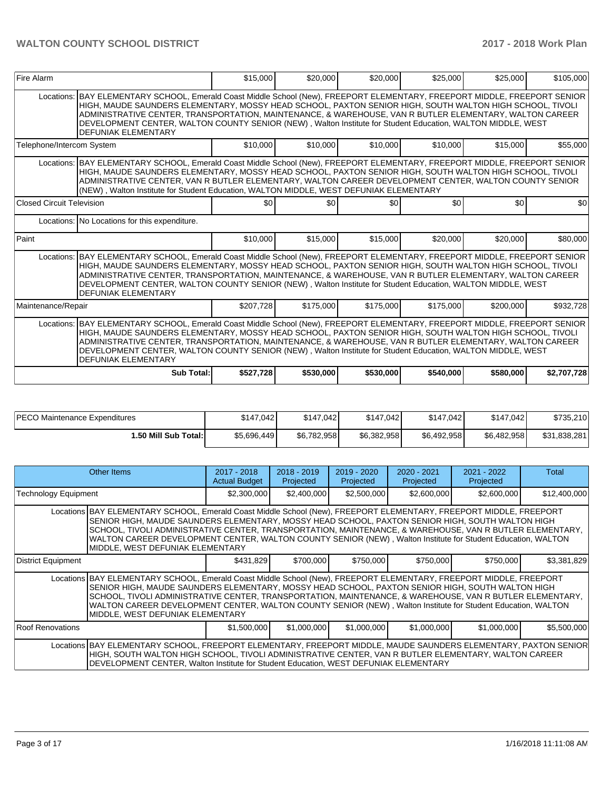| Fire Alarm                                                                                                                                                                                                                                                                                                                                                                                                                                                                                     | \$15,000                                                                                                                                                                                                                                                                                                                                                                                                                                                         | \$20,000  | \$20,000  | \$25,000  | \$25,000  | \$105,000   |  |  |  |
|------------------------------------------------------------------------------------------------------------------------------------------------------------------------------------------------------------------------------------------------------------------------------------------------------------------------------------------------------------------------------------------------------------------------------------------------------------------------------------------------|------------------------------------------------------------------------------------------------------------------------------------------------------------------------------------------------------------------------------------------------------------------------------------------------------------------------------------------------------------------------------------------------------------------------------------------------------------------|-----------|-----------|-----------|-----------|-------------|--|--|--|
| Locations: BAY ELEMENTARY SCHOOL, Emerald Coast Middle School (New), FREEPORT ELEMENTARY, FREEPORT MIDDLE, FREEPORT SENIOR<br>HIGH, MAUDE SAUNDERS ELEMENTARY, MOSSY HEAD SCHOOL, PAXTON SENIOR HIGH, SOUTH WALTON HIGH SCHOOL, TIVOLI<br>ADMINISTRATIVE CENTER, TRANSPORTATION, MAINTENANCE, & WAREHOUSE, VAN R BUTLER ELEMENTARY, WALTON CAREER<br>DEVELOPMENT CENTER, WALTON COUNTY SENIOR (NEW), Walton Institute for Student Education, WALTON MIDDLE, WEST<br><b>DEFUNIAK ELEMENTARY</b> |                                                                                                                                                                                                                                                                                                                                                                                                                                                                  |           |           |           |           |             |  |  |  |
| Telephone/Intercom System                                                                                                                                                                                                                                                                                                                                                                                                                                                                      | \$10,000                                                                                                                                                                                                                                                                                                                                                                                                                                                         | \$10,000  | \$10,000  | \$10,000  | \$15,000  | \$55,000    |  |  |  |
| Locations: BAY ELEMENTARY SCHOOL, Emerald Coast Middle School (New), FREEPORT ELEMENTARY, FREEPORT MIDDLE, FREEPORT SENIOR<br>HIGH, MAUDE SAUNDERS ELEMENTARY, MOSSY HEAD SCHOOL, PAXTON SENIOR HIGH, SOUTH WALTON HIGH SCHOOL, TIVOLI<br>ADMINISTRATIVE CENTER, VAN R BUTLER ELEMENTARY, WALTON CAREER DEVELOPMENT CENTER, WALTON COUNTY SENIOR<br>(NEW), Walton Institute for Student Education, WALTON MIDDLE, WEST DEFUNIAK ELEMENTARY                                                     |                                                                                                                                                                                                                                                                                                                                                                                                                                                                  |           |           |           |           |             |  |  |  |
| Closed Circuit Television                                                                                                                                                                                                                                                                                                                                                                                                                                                                      | \$0                                                                                                                                                                                                                                                                                                                                                                                                                                                              | \$0       | \$0       | \$0       | \$0       | \$0         |  |  |  |
| Locations: No Locations for this expenditure.                                                                                                                                                                                                                                                                                                                                                                                                                                                  |                                                                                                                                                                                                                                                                                                                                                                                                                                                                  |           |           |           |           |             |  |  |  |
| l Paint                                                                                                                                                                                                                                                                                                                                                                                                                                                                                        | \$10,000                                                                                                                                                                                                                                                                                                                                                                                                                                                         | \$15,000  | \$15,000  | \$20,000  | \$20,000  | \$80,000    |  |  |  |
| <b>DEFUNIAK ELEMENTARY</b>                                                                                                                                                                                                                                                                                                                                                                                                                                                                     | Locations: BAY ELEMENTARY SCHOOL, Emerald Coast Middle School (New), FREEPORT ELEMENTARY, FREEPORT MIDDLE, FREEPORT SENIOR<br>HIGH, MAUDE SAUNDERS ELEMENTARY, MOSSY HEAD SCHOOL, PAXTON SENIOR HIGH, SOUTH WALTON HIGH SCHOOL, TIVOLI<br>ADMINISTRATIVE CENTER, TRANSPORTATION, MAINTENANCE, & WAREHOUSE, VAN R BUTLER ELEMENTARY, WALTON CAREER<br>DEVELOPMENT CENTER, WALTON COUNTY SENIOR (NEW), Walton Institute for Student Education, WALTON MIDDLE, WEST |           |           |           |           |             |  |  |  |
| Maintenance/Repair                                                                                                                                                                                                                                                                                                                                                                                                                                                                             | \$207,728                                                                                                                                                                                                                                                                                                                                                                                                                                                        | \$175,000 | \$175,000 | \$175,000 | \$200,000 | \$932,728   |  |  |  |
| Locations: BAY ELEMENTARY SCHOOL, Emerald Coast Middle School (New), FREEPORT ELEMENTARY, FREEPORT MIDDLE, FREEPORT SENIOR<br>HIGH, MAUDE SAUNDERS ELEMENTARY, MOSSY HEAD SCHOOL, PAXTON SENIOR HIGH, SOUTH WALTON HIGH SCHOOL, TIVOLI<br>ADMINISTRATIVE CENTER, TRANSPORTATION, MAINTENANCE, & WAREHOUSE, VAN R BUTLER ELEMENTARY, WALTON CAREER<br>DEVELOPMENT CENTER, WALTON COUNTY SENIOR (NEW), Walton Institute for Student Education, WALTON MIDDLE, WEST<br>DEFUNIAK ELEMENTARY        |                                                                                                                                                                                                                                                                                                                                                                                                                                                                  |           |           |           |           |             |  |  |  |
| Sub Total:                                                                                                                                                                                                                                                                                                                                                                                                                                                                                     | \$527,728                                                                                                                                                                                                                                                                                                                                                                                                                                                        | \$530,000 | \$530,000 | \$540,000 | \$580,000 | \$2,707,728 |  |  |  |

| <b>IPECO Maintenance Expenditures</b> | \$147.042   | \$147.042   | \$147,042   | \$147.042   | \$147.042   | \$735,210    |
|---------------------------------------|-------------|-------------|-------------|-------------|-------------|--------------|
| 1.50 Mill Sub Total:                  | \$5,696,449 | \$6.782.958 | \$6,382,958 | \$6,492,958 | \$6,482,958 | \$31,838,281 |

|                             | Other Items                                                                                                                                                                                                                                                                                                                                                                                                                                                                              | $2017 - 2018$<br><b>Actual Budget</b> | $2018 - 2019$<br>Projected | $2019 - 2020$<br>Projected | $2020 - 2021$<br>Projected | $2021 - 2022$<br>Projected | Total        |
|-----------------------------|------------------------------------------------------------------------------------------------------------------------------------------------------------------------------------------------------------------------------------------------------------------------------------------------------------------------------------------------------------------------------------------------------------------------------------------------------------------------------------------|---------------------------------------|----------------------------|----------------------------|----------------------------|----------------------------|--------------|
| <b>Technology Equipment</b> |                                                                                                                                                                                                                                                                                                                                                                                                                                                                                          | \$2,300,000                           | \$2,400,000                | \$2,500,000                | \$2,600,000                | \$2,600,000                | \$12,400,000 |
|                             | Locations   BAY ELEMENTARY SCHOOL, Emerald Coast Middle School (New), FREEPORT ELEMENTARY, FREEPORT MIDDLE, FREEPORT<br>SENIOR HIGH, MAUDE SAUNDERS ELEMENTARY, MOSSY HEAD SCHOOL, PAXTON SENIOR HIGH, SOUTH WALTON HIGH<br>SCHOOL, TIVOLI ADMINISTRATIVE CENTER, TRANSPORTATION, MAINTENANCE, & WAREHOUSE, VAN R BUTLER ELEMENTARY,<br>WALTON CAREER DEVELOPMENT CENTER, WALTON COUNTY SENIOR (NEW), Walton Institute for Student Education, WALTON<br>MIDDLE, WEST DEFUNIAK ELEMENTARY |                                       |                            |                            |                            |                            |              |
| District Equipment          |                                                                                                                                                                                                                                                                                                                                                                                                                                                                                          | \$431,829                             | \$700,000                  | \$750,000                  | \$750,000                  | \$750,000                  | \$3,381,829  |
|                             | Locations BAY ELEMENTARY SCHOOL, Emerald Coast Middle School (New), FREEPORT ELEMENTARY, FREEPORT MIDDLE, FREEPORT<br>SENIOR HIGH, MAUDE SAUNDERS ELEMENTARY, MOSSY HEAD SCHOOL, PAXTON SENIOR HIGH, SOUTH WALTON HIGH<br>SCHOOL, TIVOLI ADMINISTRATIVE CENTER, TRANSPORTATION, MAINTENANCE, & WAREHOUSE, VAN R BUTLER ELEMENTARY,<br>WALTON CAREER DEVELOPMENT CENTER, WALTON COUNTY SENIOR (NEW), Walton Institute for Student Education, WALTON<br>IMIDDLE. WEST DEFUNIAK ELEMENTARY  |                                       |                            |                            |                            |                            |              |
| Roof Renovations            |                                                                                                                                                                                                                                                                                                                                                                                                                                                                                          | \$1,500,000                           | \$1,000,000                | \$1,000,000                | \$1,000,000                | \$1,000,000                | \$5,500,000  |
|                             | Locations BAY ELEMENTARY SCHOOL, FREEPORT ELEMENTARY, FREEPORT MIDDLE, MAUDE SAUNDERS ELEMENTARY, PAXTON SENIOR<br>HIGH, SOUTH WALTON HIGH SCHOOL, TIVOLI ADMINISTRATIVE CENTER, VAN R BUTLER ELEMENTARY, WALTON CAREER<br>DEVELOPMENT CENTER, Walton Institute for Student Education, WEST DEFUNIAK ELEMENTARY                                                                                                                                                                          |                                       |                            |                            |                            |                            |              |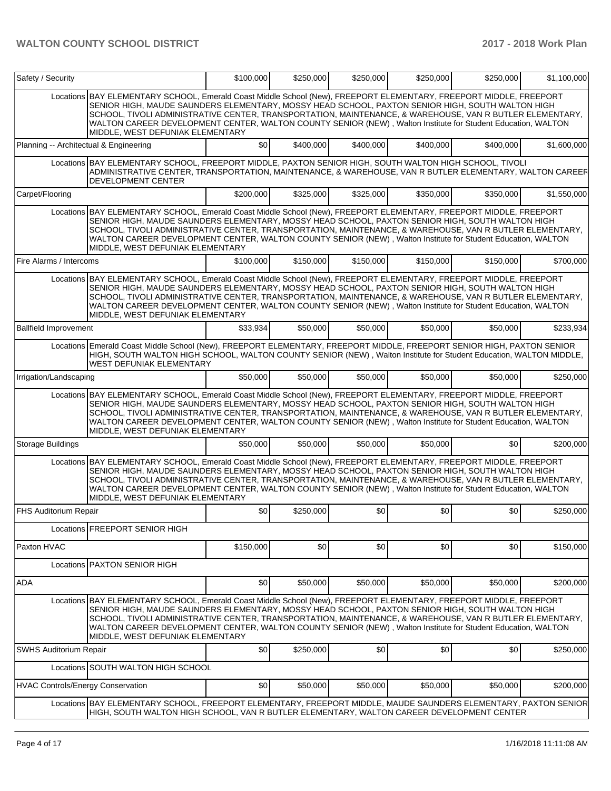| Safety / Security                        |                                                                                                                                                                                                                                                                                                                                                                                                                                                                                        | \$100,000 | \$250,000 | \$250,000 | \$250,000 | \$250,000        | \$1,100,000 |
|------------------------------------------|----------------------------------------------------------------------------------------------------------------------------------------------------------------------------------------------------------------------------------------------------------------------------------------------------------------------------------------------------------------------------------------------------------------------------------------------------------------------------------------|-----------|-----------|-----------|-----------|------------------|-------------|
|                                          | Locations BAY ELEMENTARY SCHOOL, Emerald Coast Middle School (New), FREEPORT ELEMENTARY, FREEPORT MIDDLE, FREEPORT<br>SENIOR HIGH, MAUDE SAUNDERS ELEMENTARY, MOSSY HEAD SCHOOL, PAXTON SENIOR HIGH, SOUTH WALTON HIGH<br>SCHOOL, TIVOLI ADMINISTRATIVE CENTER, TRANSPORTATION, MAINTENANCE, & WAREHOUSE, VAN R BUTLER ELEMENTARY,<br>WALTON CAREER DEVELOPMENT CENTER, WALTON COUNTY SENIOR (NEW), Walton Institute for Student Education, WALTON<br>MIDDLE, WEST DEFUNIAK ELEMENTARY |           |           |           |           |                  |             |
| Planning -- Architectual & Engineering   |                                                                                                                                                                                                                                                                                                                                                                                                                                                                                        | \$0       | \$400,000 | \$400,000 | \$400,000 | \$400,000        | \$1,600,000 |
|                                          | Locations BAY ELEMENTARY SCHOOL, FREEPORT MIDDLE, PAXTON SENIOR HIGH, SOUTH WALTON HIGH SCHOOL, TIVOLI<br>ADMINISTRATIVE CENTER, TRANSPORTATION, MAINTENANCE, & WAREHOUSE, VAN R BUTLER ELEMENTARY, WALTON CAREER<br>DEVELOPMENT CENTER                                                                                                                                                                                                                                                |           |           |           |           |                  |             |
| Carpet/Flooring                          |                                                                                                                                                                                                                                                                                                                                                                                                                                                                                        | \$200,000 | \$325,000 | \$325,000 | \$350,000 | \$350,000        | \$1,550,000 |
|                                          | Locations BAY ELEMENTARY SCHOOL, Emerald Coast Middle School (New), FREEPORT ELEMENTARY, FREEPORT MIDDLE, FREEPORT<br>SENIOR HIGH, MAUDE SAUNDERS ELEMENTARY, MOSSY HEAD SCHOOL, PAXTON SENIOR HIGH, SOUTH WALTON HIGH<br>SCHOOL, TIVOLI ADMINISTRATIVE CENTER, TRANSPORTATION, MAINTENANCE, & WAREHOUSE, VAN R BUTLER ELEMENTARY,<br>WALTON CAREER DEVELOPMENT CENTER, WALTON COUNTY SENIOR (NEW), Walton Institute for Student Education, WALTON<br>MIDDLE, WEST DEFUNIAK ELEMENTARY |           |           |           |           |                  |             |
| Fire Alarms / Intercoms                  |                                                                                                                                                                                                                                                                                                                                                                                                                                                                                        | \$100,000 | \$150,000 | \$150,000 | \$150,000 | \$150,000        | \$700,000   |
|                                          | Locations BAY ELEMENTARY SCHOOL, Emerald Coast Middle School (New), FREEPORT ELEMENTARY, FREEPORT MIDDLE, FREEPORT<br>SENIOR HIGH, MAUDE SAUNDERS ELEMENTARY, MOSSY HEAD SCHOOL, PAXTON SENIOR HIGH, SOUTH WALTON HIGH<br>SCHOOL, TIVOLI ADMINISTRATIVE CENTER, TRANSPORTATION, MAINTENANCE, & WAREHOUSE, VAN R BUTLER ELEMENTARY,<br>WALTON CAREER DEVELOPMENT CENTER, WALTON COUNTY SENIOR (NEW), Walton Institute for Student Education, WALTON<br>MIDDLE, WEST DEFUNIAK ELEMENTARY |           |           |           |           |                  |             |
| <b>Ballfield Improvement</b>             |                                                                                                                                                                                                                                                                                                                                                                                                                                                                                        | \$33,934  | \$50,000  | \$50,000  | \$50,000  | \$50,000         | \$233,934   |
|                                          | Locations Emerald Coast Middle School (New), FREEPORT ELEMENTARY, FREEPORT MIDDLE, FREEPORT SENIOR HIGH, PAXTON SENIOR<br>HIGH, SOUTH WALTON HIGH SCHOOL, WALTON COUNTY SENIOR (NEW), Walton Institute for Student Education, WALTON MIDDLE,<br><b>WEST DEFUNIAK ELEMENTARY</b>                                                                                                                                                                                                        |           |           |           |           |                  |             |
| Irrigation/Landscaping                   |                                                                                                                                                                                                                                                                                                                                                                                                                                                                                        | \$50,000  | \$50,000  | \$50,000  | \$50,000  | \$50,000         | \$250,000   |
|                                          | Locations BAY ELEMENTARY SCHOOL, Emerald Coast Middle School (New), FREEPORT ELEMENTARY, FREEPORT MIDDLE, FREEPORT<br>SENIOR HIGH, MAUDE SAUNDERS ELEMENTARY, MOSSY HEAD SCHOOL, PAXTON SENIOR HIGH, SOUTH WALTON HIGH<br>SCHOOL, TIVOLI ADMINISTRATIVE CENTER, TRANSPORTATION, MAINTENANCE, & WAREHOUSE, VAN R BUTLER ELEMENTARY,<br>WALTON CAREER DEVELOPMENT CENTER, WALTON COUNTY SENIOR (NEW), Walton Institute for Student Education, WALTON<br>MIDDLE, WEST DEFUNIAK ELEMENTARY |           |           |           |           |                  |             |
| Storage Buildings                        |                                                                                                                                                                                                                                                                                                                                                                                                                                                                                        | \$50,000  | \$50,000  | \$50,000  | \$50,000  | \$0 <sub>1</sub> | \$200,000   |
|                                          | Locations BAY ELEMENTARY SCHOOL, Emerald Coast Middle School (New), FREEPORT ELEMENTARY, FREEPORT MIDDLE, FREEPORT<br>SENIOR HIGH, MAUDE SAUNDERS ELEMENTARY, MOSSY HEAD SCHOOL, PAXTON SENIOR HIGH, SOUTH WALTON HIGH<br>SCHOOL, TIVOLI ADMINISTRATIVE CENTER, TRANSPORTATION, MAINTENANCE, & WAREHOUSE, VAN R BUTLER ELEMENTARY,<br>WALTON CAREER DEVELOPMENT CENTER, WALTON COUNTY SENIOR (NEW), Walton Institute for Student Education, WALTON<br>MIDDLE, WEST DEFUNIAK ELEMENTARY |           |           |           |           |                  |             |
| FHS Auditorium Repair                    |                                                                                                                                                                                                                                                                                                                                                                                                                                                                                        | \$0       | \$250,000 | \$0       | \$0       | \$0              | \$250,000   |
|                                          | Locations <b>FREEPORT SENIOR HIGH</b>                                                                                                                                                                                                                                                                                                                                                                                                                                                  |           |           |           |           |                  |             |
| Paxton HVAC                              |                                                                                                                                                                                                                                                                                                                                                                                                                                                                                        | \$150,000 | \$0       | \$0       | \$0       | \$0              | \$150,000   |
|                                          | Locations PAXTON SENIOR HIGH                                                                                                                                                                                                                                                                                                                                                                                                                                                           |           |           |           |           |                  |             |
| ADA                                      |                                                                                                                                                                                                                                                                                                                                                                                                                                                                                        | \$0       | \$50,000  | \$50,000  | \$50,000  | \$50,000         | \$200,000   |
|                                          | Locations BAY ELEMENTARY SCHOOL, Emerald Coast Middle School (New), FREEPORT ELEMENTARY, FREEPORT MIDDLE, FREEPORT<br>SENIOR HIGH, MAUDE SAUNDERS ELEMENTARY, MOSSY HEAD SCHOOL, PAXTON SENIOR HIGH, SOUTH WALTON HIGH<br>SCHOOL, TIVOLI ADMINISTRATIVE CENTER, TRANSPORTATION, MAINTENANCE, & WAREHOUSE, VAN R BUTLER ELEMENTARY,<br>WALTON CAREER DEVELOPMENT CENTER, WALTON COUNTY SENIOR (NEW), Walton Institute for Student Education, WALTON<br>MIDDLE, WEST DEFUNIAK ELEMENTARY |           |           |           |           |                  |             |
| <b>SWHS Auditorium Repair</b>            |                                                                                                                                                                                                                                                                                                                                                                                                                                                                                        | \$0       | \$250,000 | \$0       | \$0       | \$0              | \$250,000   |
|                                          | Locations SOUTH WALTON HIGH SCHOOL                                                                                                                                                                                                                                                                                                                                                                                                                                                     |           |           |           |           |                  |             |
| <b>HVAC Controls/Energy Conservation</b> |                                                                                                                                                                                                                                                                                                                                                                                                                                                                                        | \$0       | \$50,000  | \$50,000  | \$50,000  | \$50,000         | \$200,000   |
|                                          | Locations BAY ELEMENTARY SCHOOL, FREEPORT ELEMENTARY, FREEPORT MIDDLE, MAUDE SAUNDERS ELEMENTARY, PAXTON SENIOR<br>HIGH, SOUTH WALTON HIGH SCHOOL, VAN R BUTLER ELEMENTARY, WALTON CAREER DEVELOPMENT CENTER                                                                                                                                                                                                                                                                           |           |           |           |           |                  |             |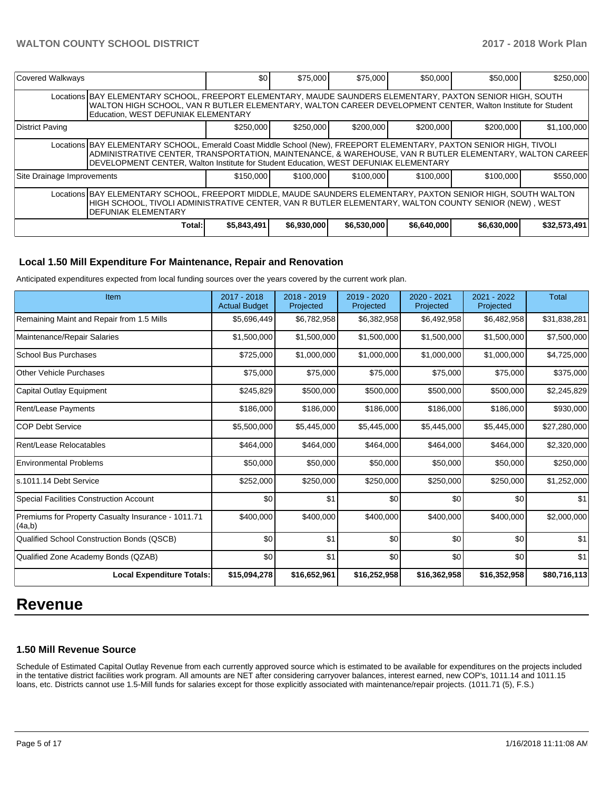| Covered Walkways                                                                                                                                                                                                                                     |                                                                                                                                                                                                                                                                                                                        | \$0         | \$75,000    | \$75,000    | \$50,000    | \$50,000    | \$250,000    |  |  |
|------------------------------------------------------------------------------------------------------------------------------------------------------------------------------------------------------------------------------------------------------|------------------------------------------------------------------------------------------------------------------------------------------------------------------------------------------------------------------------------------------------------------------------------------------------------------------------|-------------|-------------|-------------|-------------|-------------|--------------|--|--|
|                                                                                                                                                                                                                                                      | Locations BAY ELEMENTARY SCHOOL, FREEPORT ELEMENTARY, MAUDE SAUNDERS ELEMENTARY, PAXTON SENIOR HIGH, SOUTH<br>WALTON HIGH SCHOOL, VAN R BUTLER ELEMENTARY, WALTON CAREER DEVELOPMENT CENTER, Walton Institute for Student<br>Education, WEST DEFUNIAK ELEMENTARY                                                       |             |             |             |             |             |              |  |  |
| District Paving                                                                                                                                                                                                                                      |                                                                                                                                                                                                                                                                                                                        | \$250,000   | \$250,000   | \$200,000   | \$200,000   | \$200,000   | \$1,100,000  |  |  |
|                                                                                                                                                                                                                                                      | Locations BAY ELEMENTARY SCHOOL, Emerald Coast Middle School (New), FREEPORT ELEMENTARY, PAXTON SENIOR HIGH, TIVOLI<br>ADMINISTRATIVE CENTER. TRANSPORTATION. MAINTENANCE. & WAREHOUSE. VAN R BUTLER ELEMENTARY. WALTON CAREER<br>DEVELOPMENT CENTER, Walton Institute for Student Education, WEST DEFUNIAK ELEMENTARY |             |             |             |             |             |              |  |  |
| Site Drainage Improvements                                                                                                                                                                                                                           |                                                                                                                                                                                                                                                                                                                        | \$150,000   | \$100,000   | \$100,000   | \$100,000   | \$100,000   | \$550,000    |  |  |
| Locations BAY ELEMENTARY SCHOOL, FREEPORT MIDDLE, MAUDE SAUNDERS ELEMENTARY, PAXTON SENIOR HIGH, SOUTH WALTON<br>HIGH SCHOOL, TIVOLI ADMINISTRATIVE CENTER, VAN R BUTLER ELEMENTARY, WALTON COUNTY SENIOR (NEW) , WEST<br><b>DEFUNIAK ELEMENTARY</b> |                                                                                                                                                                                                                                                                                                                        |             |             |             |             |             |              |  |  |
|                                                                                                                                                                                                                                                      | Total:                                                                                                                                                                                                                                                                                                                 | \$5,843,491 | \$6,930,000 | \$6,530,000 | \$6,640,000 | \$6,630,000 | \$32,573,491 |  |  |

## **Local 1.50 Mill Expenditure For Maintenance, Repair and Renovation**

Anticipated expenditures expected from local funding sources over the years covered by the current work plan.

| Item                                                         | 2017 - 2018<br><b>Actual Budget</b> | 2018 - 2019<br>Projected | 2019 - 2020<br>Projected | 2020 - 2021<br>Projected | 2021 - 2022<br>Projected | <b>Total</b> |
|--------------------------------------------------------------|-------------------------------------|--------------------------|--------------------------|--------------------------|--------------------------|--------------|
| Remaining Maint and Repair from 1.5 Mills                    | \$5,696,449                         | \$6,782,958              | \$6,382,958              | \$6,492,958              | \$6,482,958              | \$31,838,281 |
| Maintenance/Repair Salaries                                  | \$1,500,000                         | \$1,500,000              | \$1,500,000              | \$1,500,000              | \$1,500,000              | \$7,500,000  |
| <b>School Bus Purchases</b>                                  | \$725,000                           | \$1,000,000              | \$1,000,000              | \$1,000,000              | \$1,000,000              | \$4,725,000  |
| <b>Other Vehicle Purchases</b>                               | \$75,000                            | \$75,000                 | \$75,000                 | \$75,000                 | \$75,000                 | \$375,000    |
| Capital Outlay Equipment                                     | \$245,829                           | \$500,000                | \$500,000                | \$500,000                | \$500,000                | \$2,245,829  |
| Rent/Lease Payments                                          | \$186,000                           | \$186,000                | \$186,000                | \$186,000                | \$186,000                | \$930,000    |
| <b>COP Debt Service</b>                                      | \$5,500,000                         | \$5,445,000              | \$5,445,000              | \$5,445,000              | \$5,445,000              | \$27,280,000 |
| Rent/Lease Relocatables                                      | \$464,000                           | \$464,000                | \$464,000                | \$464,000                | \$464,000                | \$2,320,000  |
| <b>Environmental Problems</b>                                | \$50,000                            | \$50,000                 | \$50,000                 | \$50,000                 | \$50,000                 | \$250,000    |
| s.1011.14 Debt Service                                       | \$252,000                           | \$250,000                | \$250,000                | \$250,000                | \$250,000                | \$1,252,000  |
| <b>Special Facilities Construction Account</b>               | \$0                                 | \$1                      | \$0                      | \$0                      | \$0                      | \$1          |
| Premiums for Property Casualty Insurance - 1011.71<br>(4a,b) | \$400,000                           | \$400,000                | \$400,000                | \$400,000                | \$400,000                | \$2,000,000  |
| Qualified School Construction Bonds (QSCB)                   | \$0                                 | \$1                      | \$0                      | \$0                      | \$0                      | \$1          |
| Qualified Zone Academy Bonds (QZAB)                          | \$0                                 | \$1                      | \$0                      | \$0                      | \$0                      | \$1          |
| <b>Local Expenditure Totals:</b>                             | \$15,094,278                        | \$16,652,961             | \$16,252,958             | \$16,362,958             | \$16,352,958             | \$80,716,113 |

## **Revenue**

### **1.50 Mill Revenue Source**

Schedule of Estimated Capital Outlay Revenue from each currently approved source which is estimated to be available for expenditures on the projects included in the tentative district facilities work program. All amounts are NET after considering carryover balances, interest earned, new COP's, 1011.14 and 1011.15 loans, etc. Districts cannot use 1.5-Mill funds for salaries except for those explicitly associated with maintenance/repair projects. (1011.71 (5), F.S.)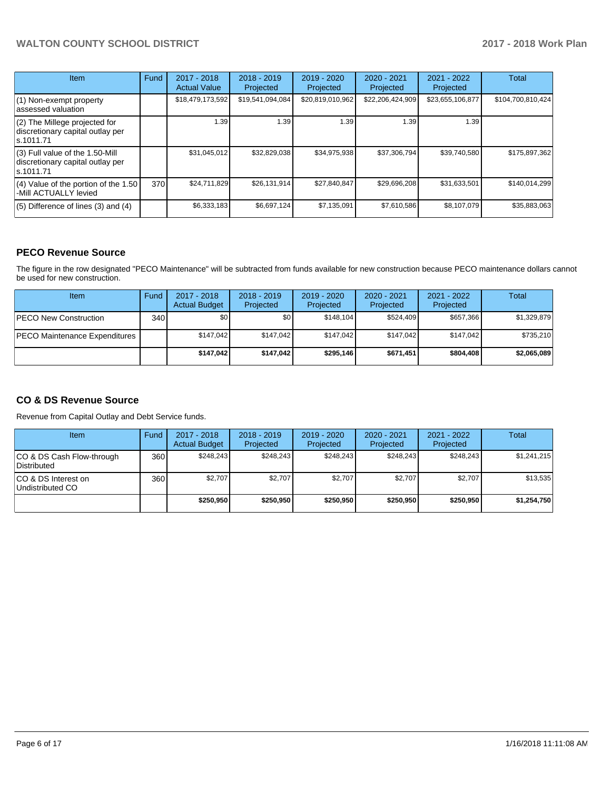| <b>Item</b>                                                                         | Fund | $2017 - 2018$<br><b>Actual Value</b> | $2018 - 2019$<br>Projected | $2019 - 2020$<br>Projected | $2020 - 2021$<br>Projected | $2021 - 2022$<br>Projected | <b>Total</b>      |
|-------------------------------------------------------------------------------------|------|--------------------------------------|----------------------------|----------------------------|----------------------------|----------------------------|-------------------|
| (1) Non-exempt property<br>lassessed valuation                                      |      | \$18,479,173,592                     | \$19,541,094,084           | \$20,819,010,962           | \$22,206,424,909           | \$23,655,106,877           | \$104,700,810,424 |
| (2) The Millege projected for<br>discretionary capital outlay per<br>ls.1011.71     |      | 1.39                                 | 1.39                       | 1.39                       | 1.39                       | 1.39                       |                   |
| $(3)$ Full value of the 1.50-Mill<br>discretionary capital outlay per<br>ls.1011.71 |      | \$31,045,012                         | \$32,829,038               | \$34,975,938               | \$37,306,794               | \$39,740,580               | \$175,897,362     |
| $(4)$ Value of the portion of the 1.50<br>-Mill ACTUALLY levied                     | 370  | \$24,711,829                         | \$26,131,914               | \$27,840,847               | \$29,696,208               | \$31,633,501               | \$140,014,299     |
| $(5)$ Difference of lines (3) and (4)                                               |      | \$6,333,183                          | \$6,697,124                | \$7,135,091                | \$7,610,586                | \$8,107,079                | \$35,883,063      |

## **PECO Revenue Source**

The figure in the row designated "PECO Maintenance" will be subtracted from funds available for new construction because PECO maintenance dollars cannot be used for new construction.

| Item                           | Fund         | $2017 - 2018$<br><b>Actual Budget</b> | $2018 - 2019$<br>Projected | 2019 - 2020<br>Projected | $2020 - 2021$<br>Projected | $2021 - 2022$<br>Projected | <b>Total</b> |
|--------------------------------|--------------|---------------------------------------|----------------------------|--------------------------|----------------------------|----------------------------|--------------|
| <b>IPECO New Construction</b>  | 340 <b>I</b> | \$0                                   | \$0 <sub>1</sub>           | \$148,104                | \$524.409                  | \$657.366                  | \$1,329,879  |
| IPECO Maintenance Expenditures |              | \$147.042                             | \$147.042                  | \$147.042                | \$147.042                  | \$147.042                  | \$735,210    |
|                                |              | \$147.042                             | \$147.042                  | \$295,146                | \$671.451                  | \$804,408                  | \$2,065,089  |

## **CO & DS Revenue Source**

Revenue from Capital Outlay and Debt Service funds.

| Item                                      | Fund | $2017 - 2018$<br><b>Actual Budget</b> | $2018 - 2019$<br>Projected | $2019 - 2020$<br>Projected | $2020 - 2021$<br>Projected | $2021 - 2022$<br>Projected | Total       |
|-------------------------------------------|------|---------------------------------------|----------------------------|----------------------------|----------------------------|----------------------------|-------------|
| ICO & DS Cash Flow-through<br>Distributed | 360  | \$248.243                             | \$248.243                  | \$248.243                  | \$248.243                  | \$248.243                  | \$1.241.215 |
| ICO & DS Interest on<br>Undistributed CO  | 360  | \$2.707                               | \$2.707                    | \$2.707                    | \$2.707                    | \$2,707                    | \$13,535    |
|                                           |      | \$250,950                             | \$250,950                  | \$250,950                  | \$250,950                  | \$250.950                  | \$1,254,750 |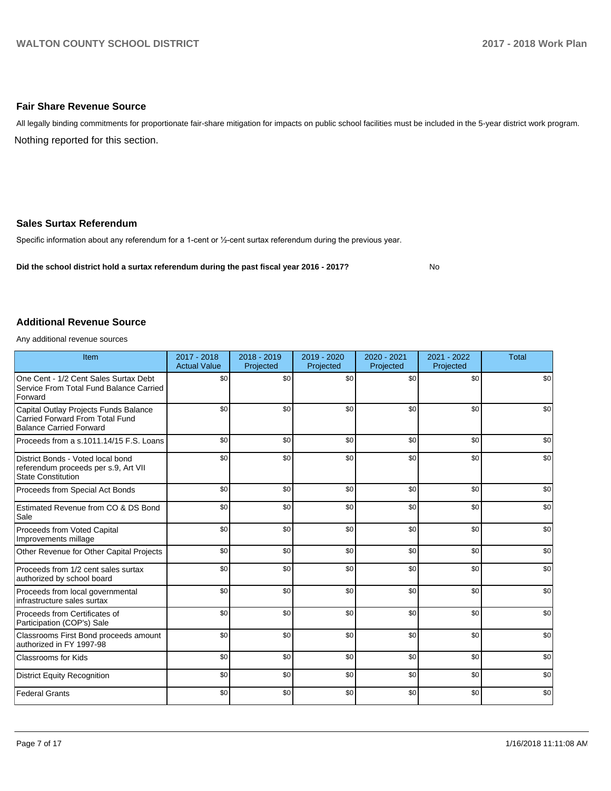### **Fair Share Revenue Source**

Nothing reported for this section. All legally binding commitments for proportionate fair-share mitigation for impacts on public school facilities must be included in the 5-year district work program.

### **Sales Surtax Referendum**

Specific information about any referendum for a 1-cent or 1/2-cent surtax referendum during the previous year.

**Did the school district hold a surtax referendum during the past fiscal year 2016 - 2017?**

No

### **Additional Revenue Source**

Any additional revenue sources

| Item                                                                                                              | 2017 - 2018<br><b>Actual Value</b> | 2018 - 2019<br>Projected | 2019 - 2020<br>Projected | 2020 - 2021<br>Projected | 2021 - 2022<br>Projected | <b>Total</b> |
|-------------------------------------------------------------------------------------------------------------------|------------------------------------|--------------------------|--------------------------|--------------------------|--------------------------|--------------|
| One Cent - 1/2 Cent Sales Surtax Debt<br>Service From Total Fund Balance Carried<br>Forward                       | \$0                                | \$0                      | \$0                      | \$0                      | \$0                      | \$0          |
| Capital Outlay Projects Funds Balance<br><b>Carried Forward From Total Fund</b><br><b>Balance Carried Forward</b> | \$0                                | \$0                      | \$0                      | \$0                      | \$0                      | \$0          |
| Proceeds from a s.1011.14/15 F.S. Loans                                                                           | \$0                                | \$0                      | \$0                      | \$0                      | \$0                      | \$0          |
| District Bonds - Voted local bond<br>referendum proceeds per s.9, Art VII<br><b>State Constitution</b>            | \$0                                | \$0                      | \$0                      | \$0                      | \$0                      | \$0          |
| Proceeds from Special Act Bonds                                                                                   | \$0                                | \$0                      | \$0                      | \$0                      | \$0                      | \$0          |
| Estimated Revenue from CO & DS Bond<br>Sale                                                                       | \$0                                | \$0                      | \$0                      | \$0                      | \$0                      | \$0          |
| Proceeds from Voted Capital<br>Improvements millage                                                               | \$0                                | \$0                      | \$0                      | \$0                      | \$0                      | \$0          |
| Other Revenue for Other Capital Projects                                                                          | \$0                                | \$0                      | \$0                      | \$0                      | \$0                      | \$0          |
| Proceeds from 1/2 cent sales surtax<br>authorized by school board                                                 | \$0                                | \$0                      | \$0                      | \$0                      | \$0                      | \$0          |
| Proceeds from local governmental<br>infrastructure sales surtax                                                   | \$0                                | \$0                      | \$0                      | \$0                      | \$0                      | \$0          |
| Proceeds from Certificates of<br>Participation (COP's) Sale                                                       | \$0                                | \$0                      | \$0                      | \$0                      | \$0                      | \$0          |
| Classrooms First Bond proceeds amount<br>authorized in FY 1997-98                                                 | \$0                                | \$0                      | \$0                      | \$0                      | \$0                      | \$0          |
| <b>Classrooms for Kids</b>                                                                                        | \$0                                | \$0                      | \$0                      | \$0                      | \$0                      | \$0          |
| <b>District Equity Recognition</b>                                                                                | \$0                                | \$0                      | \$0                      | \$0                      | \$0                      | \$0          |
| <b>Federal Grants</b>                                                                                             | \$0                                | \$0                      | \$0                      | \$0                      | \$0                      | \$0          |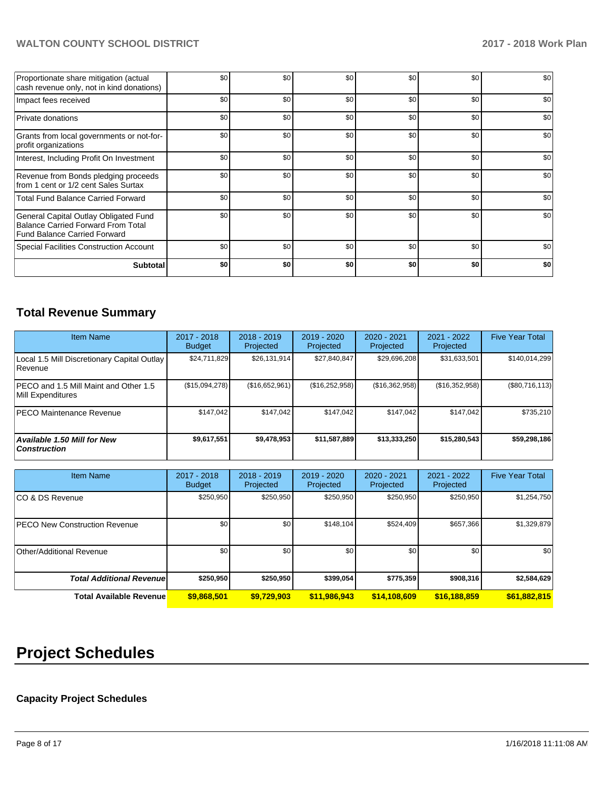| Proportionate share mitigation (actual<br>cash revenue only, not in kind donations)                                       | \$0 | \$0 | \$0 | \$0 | \$0 | \$0 |
|---------------------------------------------------------------------------------------------------------------------------|-----|-----|-----|-----|-----|-----|
| Impact fees received                                                                                                      | \$0 | \$0 | \$0 | \$0 | \$0 | \$0 |
| <b>Private donations</b>                                                                                                  | \$0 | \$0 | \$0 | \$0 | \$0 | \$0 |
| Grants from local governments or not-for-<br>profit organizations                                                         | \$0 | \$0 | \$0 | \$0 | \$0 | \$0 |
| Interest, Including Profit On Investment                                                                                  | \$0 | \$0 | \$0 | \$0 | \$0 | \$0 |
| Revenue from Bonds pledging proceeds<br>from 1 cent or 1/2 cent Sales Surtax                                              | \$0 | \$0 | \$0 | \$0 | \$0 | \$0 |
| <b>Total Fund Balance Carried Forward</b>                                                                                 | \$0 | \$0 | \$0 | \$0 | \$0 | \$0 |
| General Capital Outlay Obligated Fund<br><b>Balance Carried Forward From Total</b><br><b>Fund Balance Carried Forward</b> | \$0 | \$0 | \$0 | \$0 | \$0 | \$0 |
| Special Facilities Construction Account                                                                                   | \$0 | \$0 | \$0 | \$0 | \$0 | \$0 |
| <b>Subtotal</b>                                                                                                           | \$0 | \$0 | \$0 | \$0 | \$0 | \$0 |

## **Total Revenue Summary**

| <b>Item Name</b>                                           | $2017 - 2018$<br><b>Budget</b> | $2018 - 2019$<br>Projected | $2019 - 2020$<br>Projected | $2020 - 2021$<br>Projected | 2021 - 2022<br>Projected | <b>Five Year Total</b> |
|------------------------------------------------------------|--------------------------------|----------------------------|----------------------------|----------------------------|--------------------------|------------------------|
| Local 1.5 Mill Discretionary Capital Outlay<br>Revenue     | \$24,711,829                   | \$26,131,914               | \$27,840,847               | \$29,696,208               | \$31,633,501             | \$140,014,299          |
| PECO and 1.5 Mill Maint and Other 1.5<br>Mill Expenditures | (\$15,094,278)                 | (\$16,652,961)             | (\$16,252,958)             | (S16, 362, 958)            | (\$16,352,958)           | (\$80,716,113)         |
| <b>PECO Maintenance Revenue</b>                            | \$147.042                      | \$147.042                  | \$147.042                  | \$147,042                  | \$147.042                | \$735,210              |
| Available 1.50 Mill for New<br><b>Construction</b>         | \$9,617,551                    | \$9,478,953                | \$11,587,889               | \$13,333,250               | \$15,280,543             | \$59,298,186           |

| <b>Item Name</b>                     | 2017 - 2018<br><b>Budget</b> | $2018 - 2019$<br>Projected | 2019 - 2020<br>Projected | $2020 - 2021$<br>Projected | 2021 - 2022<br>Projected | <b>Five Year Total</b> |
|--------------------------------------|------------------------------|----------------------------|--------------------------|----------------------------|--------------------------|------------------------|
| ICO & DS Revenue                     | \$250,950                    | \$250,950                  | \$250,950                | \$250,950                  | \$250,950                | \$1,254,750            |
| <b>PECO New Construction Revenue</b> | \$0                          | \$0 <sub>1</sub>           | \$148.104                | \$524,409                  | \$657,366                | \$1,329,879            |
| Other/Additional Revenue             | \$0 <sub>1</sub>             | \$0 <sub>1</sub>           | \$0                      | \$0                        | \$0                      | \$0                    |
| <b>Total Additional Revenuel</b>     | \$250,950                    | \$250,950                  | \$399,054                | \$775,359                  | \$908,316                | \$2,584,629            |
| <b>Total Available Revenue</b>       | \$9,868,501                  | \$9.729.903                | \$11,986,943             | \$14,108,609               | \$16,188,859             | \$61,882,815           |

# **Project Schedules**

## **Capacity Project Schedules**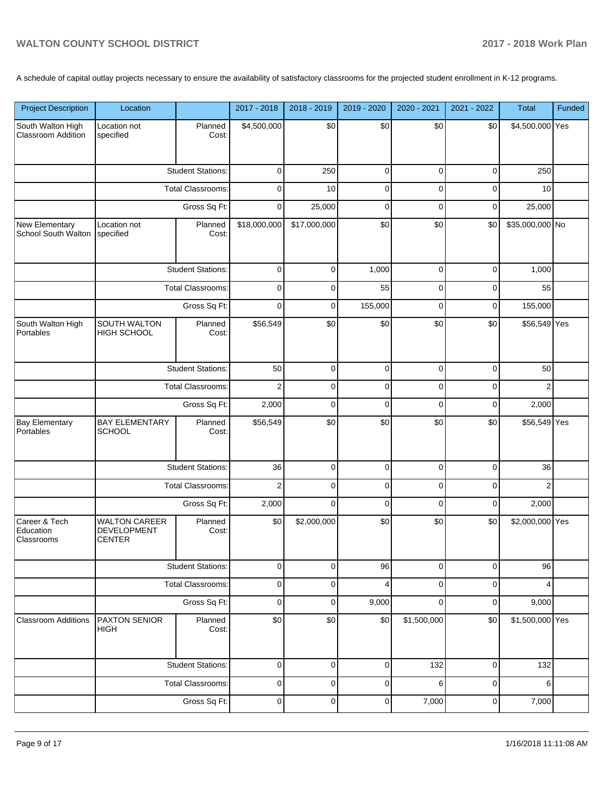A schedule of capital outlay projects necessary to ensure the availability of satisfactory classrooms for the projected student enrollment in K-12 programs.

| <b>Project Description</b>               | Location                                             |                          | 2017 - 2018             | 2018 - 2019  | 2019 - 2020 | 2020 - 2021 | 2021 - 2022 | Total           | Funded |
|------------------------------------------|------------------------------------------------------|--------------------------|-------------------------|--------------|-------------|-------------|-------------|-----------------|--------|
| South Walton High<br>Classroom Addition  | Location not<br>specified                            | Planned<br>Cost:         | \$4,500,000             | \$0          | \$0         | \$0         | \$0         | \$4,500,000 Yes |        |
|                                          |                                                      | <b>Student Stations:</b> | 0                       | 250          | 0           | 0           | 0           | 250             |        |
|                                          |                                                      | <b>Total Classrooms:</b> | 0                       | 10           | 0           | 0           | 0           | 10              |        |
|                                          |                                                      | Gross Sq Ft:             | 0                       | 25,000       | 0           | 0           | 0           | 25,000          |        |
| New Elementary<br>School South Walton    | Location not<br>specified                            | Planned<br>Cost:         | \$18,000,000            | \$17,000,000 | \$0         | \$0         | \$0         | \$35,000,000 No |        |
|                                          |                                                      | <b>Student Stations:</b> | 0                       | 0            | 1,000       | 0           | $\mathbf 0$ | 1,000           |        |
|                                          |                                                      | <b>Total Classrooms:</b> | 0                       | 0            | 55          | 0           | 0           | 55              |        |
|                                          |                                                      | Gross Sq Ft:             | 0                       | 0            | 155,000     | 0           | $\mathbf 0$ | 155,000         |        |
| South Walton High<br>Portables           | SOUTH WALTON<br><b>HIGH SCHOOL</b>                   | Planned<br>Cost:         | \$56,549                | \$0          | \$0         | \$0         | \$0         | \$56,549 Yes    |        |
|                                          |                                                      | <b>Student Stations:</b> | 50                      | 0            | 0           | 0           | 0           | 50              |        |
|                                          |                                                      | <b>Total Classrooms:</b> | $\overline{\mathbf{c}}$ | 0            | 0           | 0           | 0           | 2               |        |
|                                          | Gross Sq Ft:                                         |                          | 2,000                   | 0            | 0           | 0           | 0           | 2,000           |        |
| <b>Bay Elementary</b><br>Portables       | <b>BAY ELEMENTARY</b><br><b>SCHOOL</b>               | Planned<br>Cost:         | \$56,549                | \$0          | \$0         | \$0         | \$0         | \$56,549 Yes    |        |
|                                          |                                                      | <b>Student Stations:</b> | 36                      | 0            | $\pmb{0}$   | 0           | $\pmb{0}$   | 36              |        |
|                                          |                                                      | <b>Total Classrooms:</b> | $\overline{2}$          | $\Omega$     | 0           | $\Omega$    | 0           | $\overline{2}$  |        |
|                                          |                                                      | Gross Sq Ft:             | 2,000                   | 0            | 0           | 0           | 0           | 2,000           |        |
| Career & Tech<br>Education<br>Classrooms | <b>WALTON CAREER</b><br>DEVELOPMENT<br><b>CENTER</b> | Planned<br>Cost:         | \$0                     | \$2,000,000  | \$0         | \$0         | \$0         | \$2,000,000 Yes |        |
|                                          |                                                      | <b>Student Stations:</b> | 0                       | 0            | 96          | 0           | 0           | 96              |        |
|                                          |                                                      | Total Classrooms:        | 0                       | 0            | 4           | 0           | 0           | 4               |        |
|                                          |                                                      | Gross Sq Ft:             | 0                       | 0            | 9,000       | 0           | 0           | 9,000           |        |
| <b>Classroom Additions</b>               | PAXTON SENIOR<br><b>HIGH</b>                         | Planned<br>Cost:         | \$0                     | \$0          | \$0         | \$1,500,000 | \$0         | \$1,500,000 Yes |        |
|                                          |                                                      | <b>Student Stations:</b> | 0                       | 0            | 0           | 132         | 0           | 132             |        |
|                                          |                                                      | Total Classrooms:        | 0                       | 0            | $\pmb{0}$   | 6           | $\pmb{0}$   | 6               |        |
|                                          |                                                      | Gross Sq Ft:             | $\pmb{0}$               | 0            | $\pmb{0}$   | 7,000       | $\pmb{0}$   | 7,000           |        |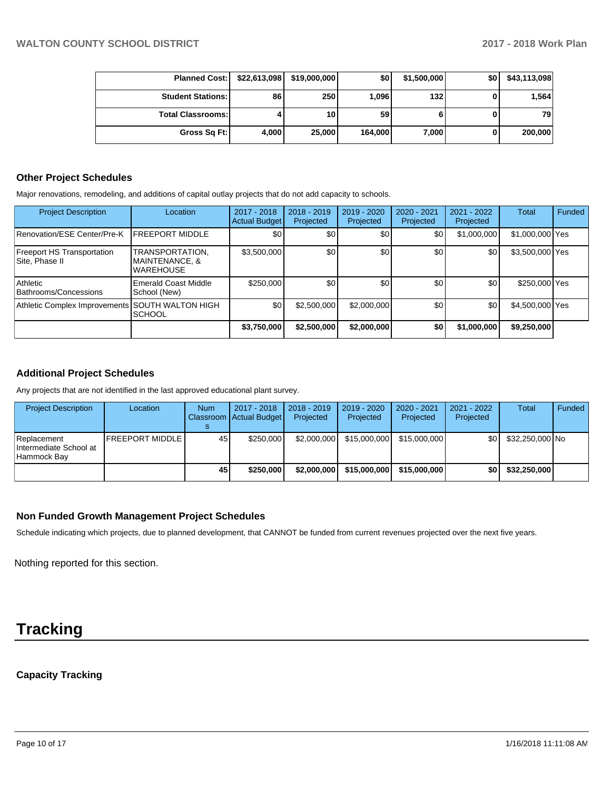| <b>Planned Cost:</b>     | \$22,613,098 | \$19,000,000    | <b>\$01</b> | \$1,500,000 | \$0 | \$43,113,098 |
|--------------------------|--------------|-----------------|-------------|-------------|-----|--------------|
| <b>Student Stations:</b> | 86           | 250             | 1,096       | 132         |     | 1.564        |
| <b>Total Classrooms:</b> |              | 10 <sub>1</sub> | 59          |             |     | 79           |
| Gross Sq Ft:             | 4,000        | 25,000          | 164,000     | 7,000       |     | 200,000      |

#### **Other Project Schedules**

Major renovations, remodeling, and additions of capital outlay projects that do not add capacity to schools.

| <b>Project Description</b>                          | Location                                              | 2017 - 2018<br><b>Actual Budget</b> | $2018 - 2019$<br>Projected | 2019 - 2020<br>Projected | $2020 - 2021$<br>Projected | $2021 - 2022$<br>Projected | <b>Total</b>    | Funded |
|-----------------------------------------------------|-------------------------------------------------------|-------------------------------------|----------------------------|--------------------------|----------------------------|----------------------------|-----------------|--------|
| Renovation/ESE Center/Pre-K                         | <b>FREEPORT MIDDLE</b>                                | \$0                                 | \$0                        | \$0                      | \$01                       | \$1,000,000                | \$1,000,000 Yes |        |
| <b>Freeport HS Transportation</b><br>Site, Phase II | TRANSPORTATION.<br>MAINTENANCE, &<br><b>WAREHOUSE</b> | \$3,500,000                         | \$0                        | \$0                      | \$0                        | \$0                        | \$3,500,000 Yes |        |
| Athletic<br>Bathrooms/Concessions                   | Emerald Coast Middle<br>School (New)                  | \$250,000                           | \$0                        | \$0                      | \$0                        | \$0                        | \$250,000 Yes   |        |
| Athletic Complex Improvements SOUTH WALTON HIGH     | <b>SCHOOL</b>                                         | \$0                                 | \$2,500,000                | \$2,000,000              | \$0 <sub>1</sub>           | \$0                        | \$4,500,000 Yes |        |
|                                                     |                                                       | \$3,750,000                         | \$2,500,000                | \$2,000,000              | ا SO                       | \$1,000,000                | \$9,250,000     |        |

## **Additional Project Schedules**

Any projects that are not identified in the last approved educational plant survey.

| <b>Project Description</b>                             | Location        | <b>Num</b> | 2017 - 2018<br>Classroom Actual Budget | $2018 - 2019$<br>Projected | 2019 - 2020<br>Projected | 2020 - 2021<br>Projected | 2021 - 2022<br>Projected | Total           | Funded |
|--------------------------------------------------------|-----------------|------------|----------------------------------------|----------------------------|--------------------------|--------------------------|--------------------------|-----------------|--------|
| Replacement<br>Intermediate School at<br>l Hammock Bav | FREEPORT MIDDLE | 45         | \$250,000                              | \$2,000,000                | \$15,000,000             | \$15,000,000             | \$OI                     | \$32,250,000 No |        |
|                                                        |                 | 45         | \$250,000                              | \$2,000,000                | \$15,000,000             | \$15,000,000             | \$0                      | \$32,250,000    |        |

## **Non Funded Growth Management Project Schedules**

Schedule indicating which projects, due to planned development, that CANNOT be funded from current revenues projected over the next five years.

Nothing reported for this section.

## **Tracking**

## **Capacity Tracking**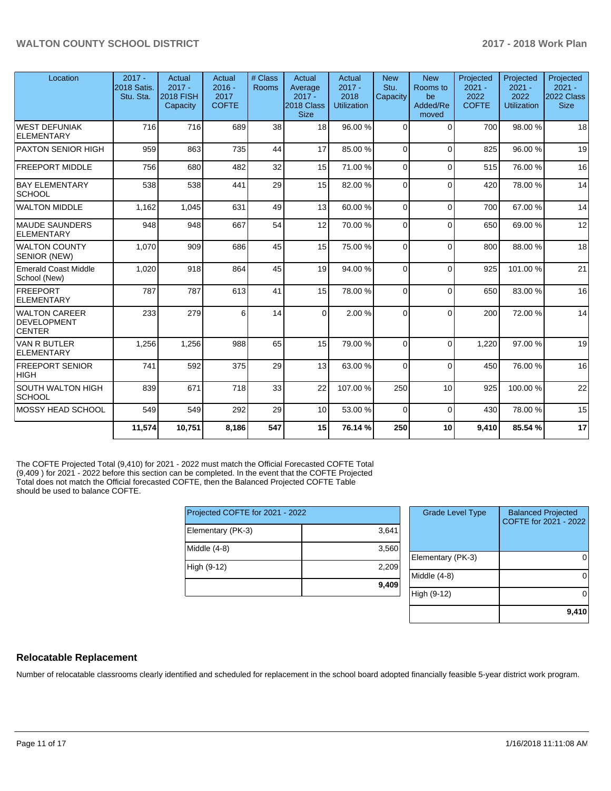| Location                                             | $2017 -$<br>2018 Satis.<br>Stu. Sta. | Actual<br>$2017 -$<br><b>2018 FISH</b><br>Capacity | Actual<br>$2016 -$<br>2017<br><b>COFTE</b> | # Class<br>Rooms | Actual<br>Average<br>$2017 -$<br>2018 Class<br><b>Size</b> | Actual<br>$2017 -$<br>2018<br><b>Utilization</b> | <b>New</b><br>Stu.<br>Capacity | <b>New</b><br>Rooms to<br>be<br>Added/Re<br>moved | Projected<br>$2021 -$<br>2022<br><b>COFTE</b> | Projected<br>$2021 -$<br>2022<br><b>Utilization</b> | Projected<br>$2021 -$<br>2022 Class  <br><b>Size</b> |
|------------------------------------------------------|--------------------------------------|----------------------------------------------------|--------------------------------------------|------------------|------------------------------------------------------------|--------------------------------------------------|--------------------------------|---------------------------------------------------|-----------------------------------------------|-----------------------------------------------------|------------------------------------------------------|
| WEST DEFUNIAK<br><b>ELEMENTARY</b>                   | 716                                  | 716                                                | 689                                        | 38               | 18                                                         | 96.00 %                                          | $\Omega$                       | $\Omega$                                          | 700                                           | 98.00 %                                             | 18                                                   |
| <b>PAXTON SENIOR HIGH</b>                            | 959                                  | 863                                                | 735                                        | 44               | 17                                                         | 85.00 %                                          | $\Omega$                       | $\Omega$                                          | 825                                           | 96.00%                                              | 19                                                   |
| <b>FREEPORT MIDDLE</b>                               | 756                                  | 680                                                | 482                                        | 32               | 15                                                         | 71.00 %                                          | $\Omega$                       | $\Omega$                                          | 515                                           | 76.00 %                                             | 16                                                   |
| <b>BAY ELEMENTARY</b><br><b>SCHOOL</b>               | 538                                  | 538                                                | 441                                        | 29               | 15                                                         | 82.00 %                                          | $\Omega$                       | $\Omega$                                          | 420                                           | 78.00 %                                             | 14                                                   |
| <b>WALTON MIDDLE</b>                                 | 1,162                                | 1,045                                              | 631                                        | 49               | 13                                                         | 60.00%                                           | $\Omega$                       | $\mathbf{0}$                                      | 700                                           | 67.00 %                                             | 14                                                   |
| <b>MAUDE SAUNDERS</b><br><b>ELEMENTARY</b>           | 948                                  | 948                                                | 667                                        | 54               | 12                                                         | 70.00 %                                          | $\Omega$                       | $\Omega$                                          | 650                                           | 69.00 %                                             | 12                                                   |
| <b>WALTON COUNTY</b><br>SENIOR (NEW)                 | 1,070                                | 909                                                | 686                                        | 45               | 15                                                         | 75.00 %                                          | $\Omega$                       | $\Omega$                                          | 800                                           | 88.00 %                                             | 18                                                   |
| <b>Emerald Coast Middle</b><br>School (New)          | 1,020                                | 918                                                | 864                                        | 45               | 19                                                         | 94.00 %                                          | $\Omega$                       | $\Omega$                                          | 925                                           | 101.00%                                             | 21                                                   |
| FREEPORT<br>ELEMENTARY                               | 787                                  | 787                                                | 613                                        | 41               | 15                                                         | 78.00 %                                          | $\Omega$                       | $\Omega$                                          | 650                                           | 83.00 %                                             | 16                                                   |
| <b>WALTON CAREER</b><br>DEVELOPMENT<br><b>CENTER</b> | 233                                  | 279                                                | 6                                          | 14               | $\Omega$                                                   | 2.00 %                                           | $\Omega$                       | $\Omega$                                          | 200                                           | 72.00 %                                             | 14                                                   |
| <b>VAN R BUTLER</b><br>ELEMENTARY                    | 1,256                                | 1,256                                              | 988                                        | 65               | 15                                                         | 79.00 %                                          | $\Omega$                       | $\Omega$                                          | 1,220                                         | 97.00 %                                             | 19                                                   |
| <b>FREEPORT SENIOR</b><br> HIGH                      | 741                                  | 592                                                | 375                                        | 29               | 13                                                         | 63.00 %                                          | $\Omega$                       | $\Omega$                                          | 450                                           | 76.00 %                                             | 16                                                   |
| <b>SOUTH WALTON HIGH</b><br> SCHOOL                  | 839                                  | 671                                                | 718                                        | 33               | 22                                                         | 107.00%                                          | 250                            | 10                                                | 925                                           | 100.00%                                             | 22                                                   |
| MOSSY HEAD SCHOOL                                    | 549                                  | 549                                                | 292                                        | 29               | 10                                                         | 53.00 %                                          | $\Omega$                       | $\Omega$                                          | 430                                           | 78.00 %                                             | 15                                                   |
|                                                      | 11,574                               | 10,751                                             | 8,186                                      | 547              | 15                                                         | 76.14 %                                          | 250                            | 10                                                | 9,410                                         | 85.54 %                                             | 17                                                   |

The COFTE Projected Total (9,410) for 2021 - 2022 must match the Official Forecasted COFTE Total (9,409 ) for 2021 - 2022 before this section can be completed. In the event that the COFTE Projected Total does not match the Official forecasted COFTE, then the Balanced Projected COFTE Table should be used to balance COFTE.

| Projected COFTE for 2021 - 2022 |       |  |  |  |  |
|---------------------------------|-------|--|--|--|--|
| Elementary (PK-3)               | 3,641 |  |  |  |  |
| Middle (4-8)                    | 3,560 |  |  |  |  |
| High (9-12)                     | 2,209 |  |  |  |  |
|                                 | 9,409 |  |  |  |  |

| <b>Grade Level Type</b> | <b>Balanced Projected</b><br>COFTE for 2021 - 2022 |
|-------------------------|----------------------------------------------------|
| Elementary (PK-3)       |                                                    |
| Middle $(4-8)$          |                                                    |
| High (9-12)             |                                                    |
|                         | 9,410                                              |

### **Relocatable Replacement**

Number of relocatable classrooms clearly identified and scheduled for replacement in the school board adopted financially feasible 5-year district work program.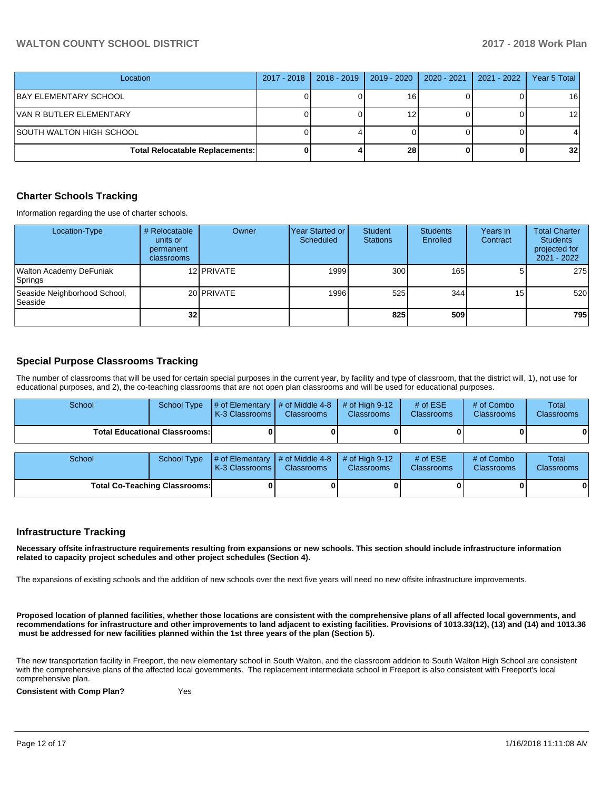| Location                               | 2017 - 2018 | 2018 - 2019 | 2019 - 2020 | 2020 - 2021 | 2021 - 2022 | Year 5 Total    |
|----------------------------------------|-------------|-------------|-------------|-------------|-------------|-----------------|
| BAY ELEMENTARY SCHOOL                  |             |             | 16          |             |             | 16              |
| VAN R BUTLER ELEMENTARY                |             |             |             |             |             | 12 <sub>l</sub> |
| ISOUTH WALTON HIGH SCHOOL              |             |             |             |             |             |                 |
| <b>Total Relocatable Replacements:</b> |             |             | 28          |             |             | 32 <sub>1</sub> |

#### **Charter Schools Tracking**

Information regarding the use of charter schools.

| Location-Type                                  | # Relocatable<br>units or<br>permanent<br>classrooms | Owner      | Year Started or<br>Scheduled | <b>Student</b><br><b>Stations</b> | <b>Students</b><br>Enrolled | Years in<br>Contract | <b>Total Charter</b><br><b>Students</b><br>projected for<br>$2021 - 2022$ |
|------------------------------------------------|------------------------------------------------------|------------|------------------------------|-----------------------------------|-----------------------------|----------------------|---------------------------------------------------------------------------|
| Walton Academy DeFuniak<br>Springs             |                                                      | 12 PRIVATE | 1999                         | 300                               | 165 <b>I</b>                |                      | 275                                                                       |
| Seaside Neighborhood School,<br><b>Seaside</b> |                                                      | 20 PRIVATE | 1996                         | 525                               | 344                         | 15 <sub>1</sub>      | 520                                                                       |
|                                                | 32 <sub>l</sub>                                      |            |                              | 825                               | 509                         |                      | 795                                                                       |

## **Special Purpose Classrooms Tracking**

The number of classrooms that will be used for certain special purposes in the current year, by facility and type of classroom, that the district will, 1), not use for educational purposes, and 2), the co-teaching classrooms that are not open plan classrooms and will be used for educational purposes.

| School                               | <b>School Type</b> | # of Elementary<br>K-3 Classrooms | # of Middle 4-8<br><b>Classrooms</b> | # of High $9-12$<br><b>Classrooms</b> | # of $ESE$<br><b>Classrooms</b> | # of Combo<br><b>Classrooms</b> | Total<br><b>Classrooms</b> |
|--------------------------------------|--------------------|-----------------------------------|--------------------------------------|---------------------------------------|---------------------------------|---------------------------------|----------------------------|
| <b>Total Educational Classrooms:</b> |                    |                                   |                                      |                                       |                                 |                                 | 0                          |
| School                               | <b>School Type</b> | # of Elementary<br>K-3 Classrooms | # of Middle 4-8<br><b>Classrooms</b> | $#$ of High 9-12<br><b>Classrooms</b> | # of $ESE$<br>Classrooms        | # of Combo<br><b>Classrooms</b> | Total<br>Classrooms        |
| <b>Total Co-Teaching Classrooms:</b> |                    |                                   | 01                                   |                                       |                                 | 0                               |                            |

### **Infrastructure Tracking**

**Necessary offsite infrastructure requirements resulting from expansions or new schools. This section should include infrastructure information related to capacity project schedules and other project schedules (Section 4).** 

The expansions of existing schools and the addition of new schools over the next five years will need no new offsite infrastructure improvements.

**Proposed location of planned facilities, whether those locations are consistent with the comprehensive plans of all affected local governments, and recommendations for infrastructure and other improvements to land adjacent to existing facilities. Provisions of 1013.33(12), (13) and (14) and 1013.36 must be addressed for new facilities planned within the 1st three years of the plan (Section 5).** 

The new transportation facility in Freeport, the new elementary school in South Walton, and the classroom addition to South Walton High School are consistent with the comprehensive plans of the affected local governments. The replacement intermediate school in Freeport is also consistent with Freeport's local comprehensive plan.

**Consistent with Comp Plan?** Yes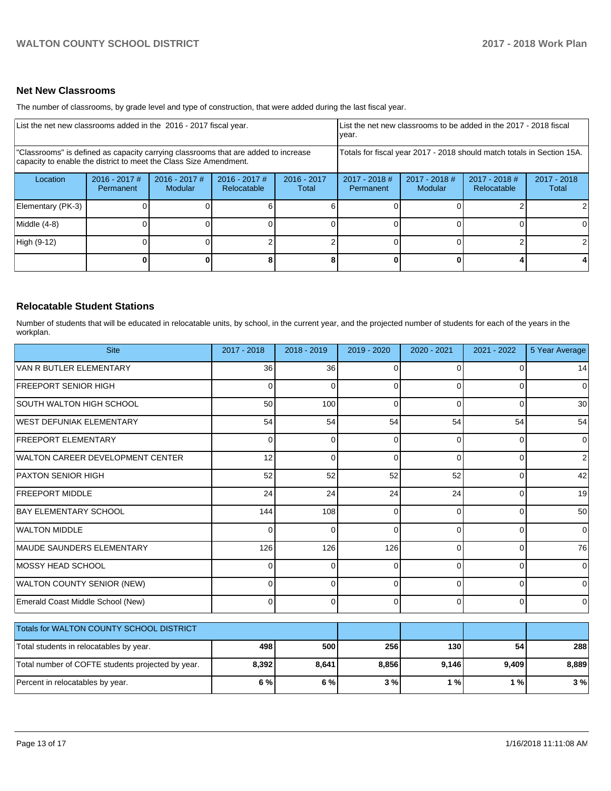## **Net New Classrooms**

The number of classrooms, by grade level and type of construction, that were added during the last fiscal year.

| List the net new classrooms added in the 2016 - 2017 fiscal year.                                                                                       |                              |                                   |                                |                        | List the net new classrooms to be added in the 2017 - 2018 fiscal<br>year. |                            |                              |                      |
|---------------------------------------------------------------------------------------------------------------------------------------------------------|------------------------------|-----------------------------------|--------------------------------|------------------------|----------------------------------------------------------------------------|----------------------------|------------------------------|----------------------|
| "Classrooms" is defined as capacity carrying classrooms that are added to increase<br>capacity to enable the district to meet the Class Size Amendment. |                              |                                   |                                |                        | Totals for fiscal year 2017 - 2018 should match totals in Section 15A.     |                            |                              |                      |
| Location                                                                                                                                                | $2016 - 2017$ #<br>Permanent | $2016 - 2017$ #<br><b>Modular</b> | $2016 - 2017$ #<br>Relocatable | $2016 - 2017$<br>Total | $2017 - 2018$ #<br>Permanent                                               | $2017 - 2018$ #<br>Modular | 2017 - 2018 #<br>Relocatable | 2017 - 2018<br>Total |
| Elementary (PK-3)                                                                                                                                       |                              |                                   |                                |                        |                                                                            |                            |                              |                      |
| Middle (4-8)                                                                                                                                            |                              |                                   |                                |                        |                                                                            |                            |                              | ΩI                   |
| High (9-12)                                                                                                                                             |                              |                                   |                                |                        |                                                                            |                            |                              |                      |
|                                                                                                                                                         |                              |                                   |                                |                        |                                                                            |                            |                              |                      |

## **Relocatable Student Stations**

Number of students that will be educated in relocatable units, by school, in the current year, and the projected number of students for each of the years in the workplan.

| <b>Site</b>                                       | 2017 - 2018     | 2018 - 2019 | 2019 - 2020 | 2020 - 2021 | 2021 - 2022 | 5 Year Average |
|---------------------------------------------------|-----------------|-------------|-------------|-------------|-------------|----------------|
| VAN R BUTLER ELEMENTARY                           | 36 <sup>1</sup> | 36          | 0           | $\Omega$    | 0           | 14             |
| <b>FREEPORT SENIOR HIGH</b>                       | 0               | $\Omega$    | 0           | $\Omega$    | 0           | $\Omega$       |
| SOUTH WALTON HIGH SCHOOL                          | 50              | 100         | 0           | $\Omega$    | 0           | 30             |
| WEST DEFUNIAK ELEMENTARY                          | 54              | 54          | 54          | 54          | 54          | 54             |
| <b>FREEPORT ELEMENTARY</b>                        | 0               | $\Omega$    | 0           | $\Omega$    | 0           | 0              |
| WALTON CAREER DEVELOPMENT CENTER                  | 12              | $\Omega$    | 0           | $\Omega$    | $\Omega$    | 2              |
| PAXTON SENIOR HIGH                                | 52              | 52          | 52          | 52          | 0           | 42             |
| <b>FREEPORT MIDDLE</b>                            | 24              | 24          | 24          | 24          | $\Omega$    | 19             |
| <b>BAY ELEMENTARY SCHOOL</b>                      | 144             | 108         | 0           | $\Omega$    | $\Omega$    | 50             |
| <b>WALTON MIDDLE</b>                              | 0               | $\Omega$    | 0           | $\Omega$    | 0           | $\mathbf 0$    |
| MAUDE SAUNDERS ELEMENTARY                         | 126             | 126         | 126         | $\Omega$    | 0           | 76             |
| IMOSSY HEAD SCHOOL                                | $\Omega$        | $\Omega$    | 0           | $\Omega$    | 0           | 0              |
| <b>WALTON COUNTY SENIOR (NEW)</b>                 | 0               | 0           | 0           | ∩           | 0           | 0              |
| Emerald Coast Middle School (New)                 | $\Omega$        | $\Omega$    | 0           | $\Omega$    | 0           | 0              |
| Totals for WALTON COUNTY SCHOOL DISTRICT          |                 |             |             |             |             |                |
| Total students in relocatables by year.           | 498             | 500         | 256         | 130         | 54          | 288            |
| Total number of COFTE students projected by year. | 8,392           | 8,641       | 8,856       | 9,146       | 9,409       | 8,889          |
| Percent in relocatables by year.                  | 6 %             | 6 %         | 3%          | 1%          | 1%          | 3%             |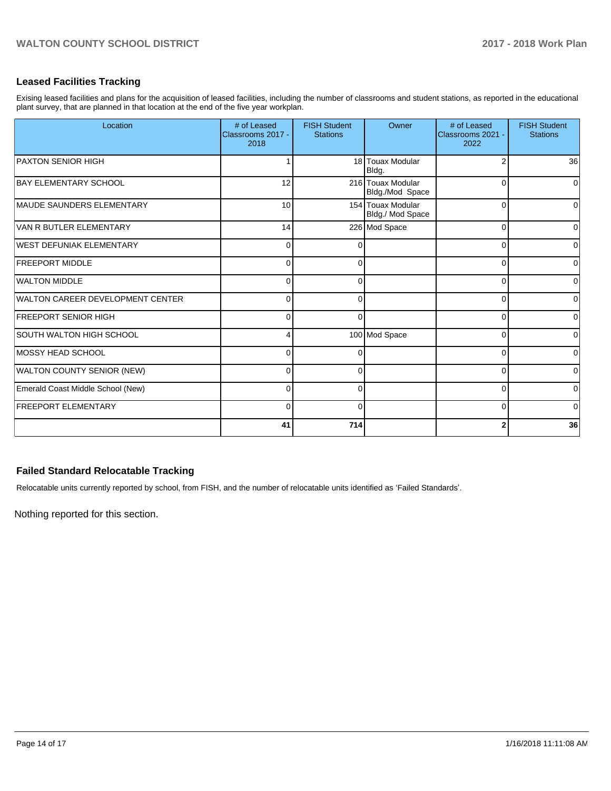## **Leased Facilities Tracking**

Exising leased facilities and plans for the acquisition of leased facilities, including the number of classrooms and student stations, as reported in the educational plant survey, that are planned in that location at the end of the five year workplan.

| Location                          | # of Leased<br>Classrooms 2017 -<br>2018 | <b>FISH Student</b><br><b>Stations</b> | Owner                                 | # of Leased<br>Classrooms 2021 -<br>2022 | <b>FISH Student</b><br><b>Stations</b> |
|-----------------------------------|------------------------------------------|----------------------------------------|---------------------------------------|------------------------------------------|----------------------------------------|
| <b>PAXTON SENIOR HIGH</b>         |                                          |                                        | 18 Touax Modular<br>Bldg.             |                                          | 36                                     |
| <b>BAY ELEMENTARY SCHOOL</b>      | 12                                       |                                        | 216 Touax Modular<br>Bldg./Mod Space  | $\Omega$                                 | 0                                      |
| MAUDE SAUNDERS ELEMENTARY         | 10                                       |                                        | 154 Touax Modular<br>Bldg./ Mod Space | $\Omega$                                 | $\Omega$                               |
| VAN R BUTLER ELEMENTARY           | 14                                       |                                        | 226 Mod Space                         | $\Omega$                                 | $\overline{0}$                         |
| WEST DEFUNIAK ELEMENTARY          | 0                                        | 0                                      |                                       | $\Omega$                                 | $\overline{0}$                         |
| <b>FREEPORT MIDDLE</b>            | $\Omega$                                 | 0                                      |                                       | 0                                        | 0                                      |
| WALTON MIDDLE                     | 0                                        | 0                                      |                                       | 0                                        | 0                                      |
| WALTON CAREER DEVELOPMENT CENTER  | $\Omega$                                 | 0                                      |                                       | $\Omega$                                 | $\overline{0}$                         |
| <b>FREEPORT SENIOR HIGH</b>       | $\Omega$                                 | $\Omega$                               |                                       | $\Omega$                                 | $\overline{0}$                         |
| SOUTH WALTON HIGH SCHOOL          | 4                                        |                                        | 100 Mod Space                         | $\Omega$                                 | $\overline{0}$                         |
| MOSSY HEAD SCHOOL                 | $\Omega$                                 |                                        |                                       | $\Omega$                                 | $\overline{0}$                         |
| <b>WALTON COUNTY SENIOR (NEW)</b> | $\Omega$                                 | 0                                      |                                       | $\Omega$                                 | $\overline{0}$                         |
| Emerald Coast Middle School (New) | $\Omega$                                 | 0                                      |                                       | $\Omega$                                 | $\overline{0}$                         |
| <b>FREEPORT ELEMENTARY</b>        | $\Omega$                                 | $\Omega$                               |                                       | $\Omega$                                 | $\overline{0}$                         |
|                                   | 41                                       | 714                                    |                                       |                                          | 36                                     |

## **Failed Standard Relocatable Tracking**

Relocatable units currently reported by school, from FISH, and the number of relocatable units identified as 'Failed Standards'.

Nothing reported for this section.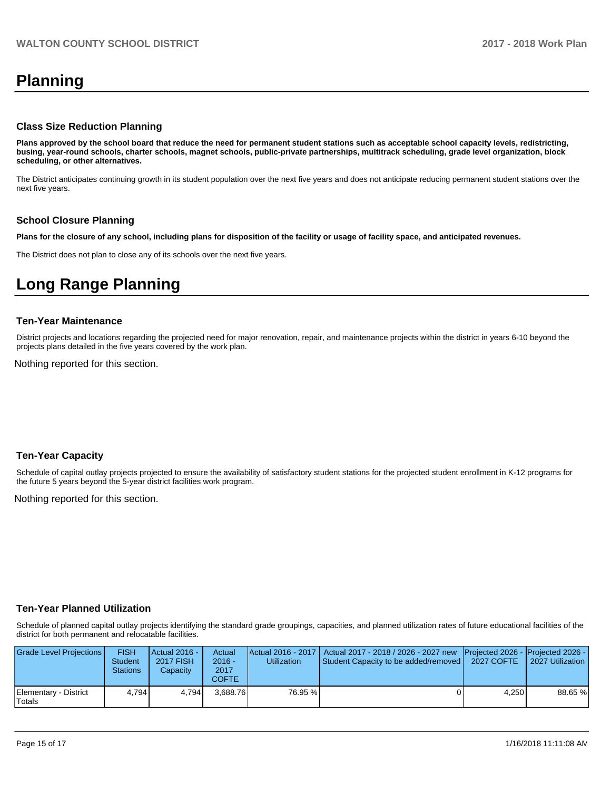## **Planning**

#### **Class Size Reduction Planning**

**Plans approved by the school board that reduce the need for permanent student stations such as acceptable school capacity levels, redistricting, busing, year-round schools, charter schools, magnet schools, public-private partnerships, multitrack scheduling, grade level organization, block scheduling, or other alternatives.**

The District anticipates continuing growth in its student population over the next five years and does not anticipate reducing permanent student stations over the next five years.

#### **School Closure Planning**

**Plans for the closure of any school, including plans for disposition of the facility or usage of facility space, and anticipated revenues.** 

The District does not plan to close any of its schools over the next five years.

## **Long Range Planning**

#### **Ten-Year Maintenance**

District projects and locations regarding the projected need for major renovation, repair, and maintenance projects within the district in years 6-10 beyond the projects plans detailed in the five years covered by the work plan.

Nothing reported for this section.

### **Ten-Year Capacity**

Schedule of capital outlay projects projected to ensure the availability of satisfactory student stations for the projected student enrollment in K-12 programs for the future 5 years beyond the 5-year district facilities work program.

Nothing reported for this section.

### **Ten-Year Planned Utilization**

Schedule of planned capital outlay projects identifying the standard grade groupings, capacities, and planned utilization rates of future educational facilities of the district for both permanent and relocatable facilities.

| Grade Level Projections         | <b>FISH</b><br>Student<br>Stations | Actual 2016 -<br><b>2017 FISH</b><br>Capacity | Actual<br>$2016 -$<br>2017<br>COFTE | Utilization | Actual 2016 - 2017   Actual 2017 - 2018 / 2026 - 2027 new   Projected 2026 -   Projected 2026 -<br><b>Student Capacity to be added/removed  </b> | 2027 COFTE | 2027 Utilization |
|---------------------------------|------------------------------------|-----------------------------------------------|-------------------------------------|-------------|--------------------------------------------------------------------------------------------------------------------------------------------------|------------|------------------|
| Elementary - District<br>Totals | 4.794                              | 4.794                                         | 3.688.76                            | 76.95 %     |                                                                                                                                                  | 4.250      | 88.65 %          |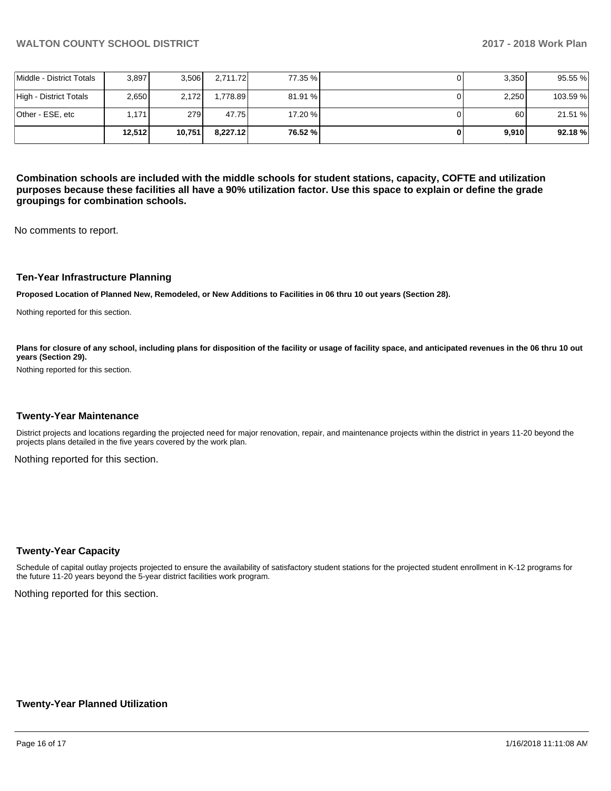|                          | 12.512 | 10,751 | 8.227.12 | 76.52 % | 9,910 | 92.18%   |
|--------------------------|--------|--------|----------|---------|-------|----------|
| lOther - ESE. etc        | 1.171  | 279 l  | 47.75    | 17.20 % | 60    | 21.51 %  |
| High - District Totals   | 2.650  | 2.172  | 1.778.89 | 81.91 % | 2,250 | 103.59 % |
| Middle - District Totals | 3.897  | 3.506  | 2,711.72 | 77.35 % | 3,350 | 95.55 %  |

**Combination schools are included with the middle schools for student stations, capacity, COFTE and utilization purposes because these facilities all have a 90% utilization factor. Use this space to explain or define the grade groupings for combination schools.** 

No comments to report.

#### **Ten-Year Infrastructure Planning**

**Proposed Location of Planned New, Remodeled, or New Additions to Facilities in 06 thru 10 out years (Section 28).**

Nothing reported for this section.

Plans for closure of any school, including plans for disposition of the facility or usage of facility space, and anticipated revenues in the 06 thru 10 out **years (Section 29).**

Nothing reported for this section.

#### **Twenty-Year Maintenance**

District projects and locations regarding the projected need for major renovation, repair, and maintenance projects within the district in years 11-20 beyond the projects plans detailed in the five years covered by the work plan.

Nothing reported for this section.

#### **Twenty-Year Capacity**

Schedule of capital outlay projects projected to ensure the availability of satisfactory student stations for the projected student enrollment in K-12 programs for the future 11-20 years beyond the 5-year district facilities work program.

Nothing reported for this section.

### **Twenty-Year Planned Utilization**